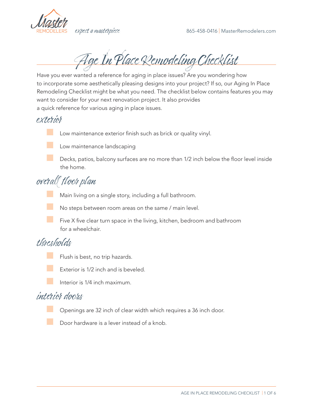

Age In Place Remodeling Checklist

Have you ever wanted a reference for aging in place issues? Are you wondering how to incorporate some aesthetically pleasing designs into your project? If so, our Aging In Place Remodeling Checklist might be what you need. The checklist below contains features you may want to consider for your next renovation project. It also provides a quick reference for various aging in place issues.

exterior

Low maintenance exterior finish such as brick or quality vinyl.



Low maintenance landscaping

Decks, patios, balcony surfaces are no more than 1/2 inch below the floor level inside the home.

# overall floor plan

Main living on a single story, including a full bathroom.

No steps between room areas on the same / main level.

**EX** Five X five clear turn space in the living, kitchen, bedroom and bathroom for a wheelchair.

# thresholds





Interior is 1/4 inch maximum.

# interior doors

Openings are 32 inch of clear width which requires a 36 inch door.

Door hardware is a lever instead of a knob.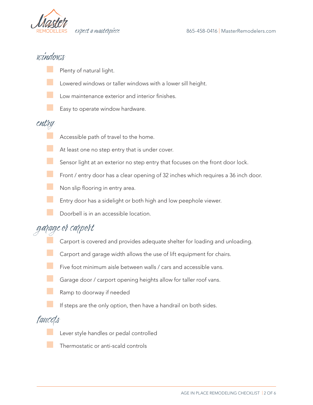

## windows

- Plenty of natural light.
- Lowered windows or taller windows with a lower sill height.
- Low maintenance exterior and interior finishes.
- Easy to operate window hardware.

### entry

- Accessible path of travel to the home.
- At least one no step entry that is under cover.
- **EXECUTE:** Sensor light at an exterior no step entry that focuses on the front door lock.
- **EXECUTE:** Front / entry door has a clear opening of 32 inches which requires a 36 inch door.
- **Non slip flooring in entry area.** 
	- Entry door has a sidelight or both high and low peephole viewer.
	- Doorbell is in an accessible location.

# garage or carport

- Carport is covered and provides adequate shelter for loading and unloading.
- Carport and garage width allows the use of lift equipment for chairs.
- Five foot minimum aisle between walls / cars and accessible vans.
- **Barage door / carport opening heights allow for taller roof vans.** 
	- Ramp to doorway if needed
		- If steps are the only option, then have a handrail on both sides.

### faucets

- Lever style handles or pedal controlled
- Thermostatic or anti-scald controls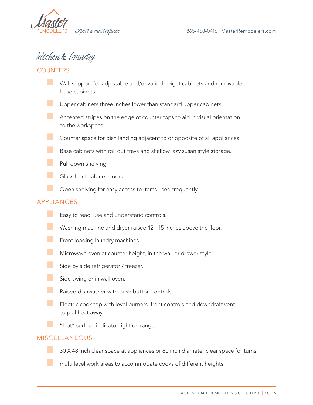

# kitchen & laundry

#### COUNTERS:

- Wall support for adjustable and/or varied height cabinets and removable base cabinets.
- Upper cabinets three inches lower than standard upper cabinets.
- **EXTED Accented stripes on the edge of counter tops to aid in visual orientation** to the workspace.
- **EXECOUNTER COUNTER** Counter space for dish landing adjacent to or opposite of all appliances.
- Base cabinets with roll out trays and shallow lazy susan style storage.
- **B** Pull down shelving.
- Glass front cabinet doors.
- **EXECUTE:** Open shelving for easy access to items used frequently.

#### APPLIANCES

- **Easy to read, use and understand controls.**
- **Washing machine and dryer raised 12 15 inches above the floor.**
- **EXECUTE:** Front loading laundry machines.
- **EXECUTE:** Microwave oven at counter height, in the wall or drawer style.
- **Side by side refrigerator / freezer.**
- side swing or in wall oven.
- **EXECUTE:** Raised dishwasher with push button controls.
	- Electric cook top with level burners, front controls and downdraft vent to pull heat away.
	- "Hot" surface indicator light on range.

#### MISCELLANEOUS

■ 30 X 48 inch clear space at appliances or 60 inch diameter clear space for turns.

a multi level work areas to accommodate cooks of different heights.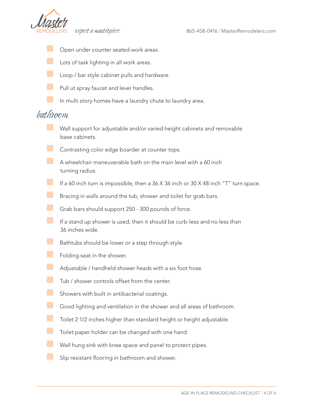

- Open under counter seated work areas.
- Lots of task lighting in all work areas.
- **Loop** / bar style cabinet pulls and hardware.
- Pull ut spray faucet and lever handles.
	- In multi story homes have a laundry chute to laundry area.

## bathroom

- Wall support for adjustable and/or varied height cabinets and removable base cabinets.
- Contrasting color edge boarder at counter tops.
- $\Box$  A wheelchair maneuverable bath on the main level with a 60 inch turning radius.
- **If a 60 inch turn is impossible, then a 36 X 36 inch or 30 X 48 inch "T" turn space.**
- Bracing in walls around the tub, shower and toilet for grab bars.
- Grab bars should support 250 300 pounds of force.
- **The If a stand up shower is used, then it should be curb-less and no less than** 36 inches wide.
- **Bathtubs should be lower or a step through style.** 
	- Folding seat in the shower.
- **Adjustable / handheld shower heads with a six foot hose.**
- Tub / shower controls offset from the center.
- **Showers with built in antibacterial coatings.**
- **B** Good lighting and ventilation in the shower and all areas of bathroom.
- **Toilet 2 1/2 inches higher than standard height or height adjustable.**
- **Toilet paper holder can be changed with one hand.**
- **Wall hung sink with knee space and panel to protect pipes.** 
	- Slip resistant flooring in bathroom and shower.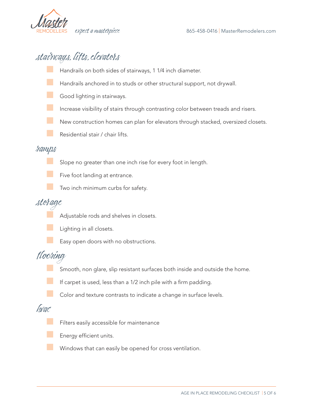

# stairways, lifts, elevators

- Handrails on both sides of stairways, 1 1/4 inch diameter.
- Handrails anchored in to studs or other structural support, not drywall.
- Good lighting in stairways.
- Increase visibility of stairs through contrasting color between treads and risers.
- New construction homes can plan for elevators through stacked, oversized closets.
- Residential stair / chair lifts.

### ramps

- **Slope no greater than one inch rise for every foot in length.** 
	- Five foot landing at entrance.
		- Two inch minimum curbs for safety.

# storage

Adjustable rods and shelves in closets.



Easy open doors with no obstructions.

## flooring

- Smooth, non glare, slip resistant surfaces both inside and outside the home.
- If carpet is used, less than a 1/2 inch pile with a firm padding.
- Color and texture contrasts to indicate a change in surface levels.

### hvac

- Filters easily accessible for maintenance
- Energy efficient units.
- Windows that can easily be opened for cross ventilation.